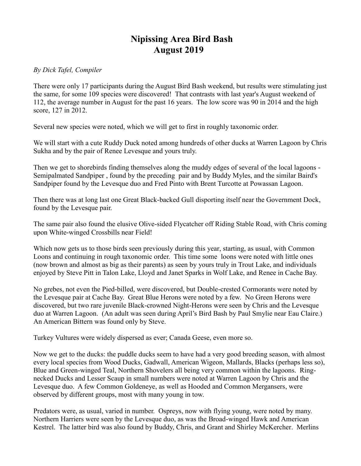## **Nipissing Area Bird Bash August 2019**

## *By Dick Tafel, Compiler*

There were only 17 participants during the August Bird Bash weekend, but results were stimulating just the same, for some 109 species were discovered! That contrasts with last year's August weekend of 112, the average number in August for the past 16 years. The low score was 90 in 2014 and the high score, 127 in 2012.

Several new species were noted, which we will get to first in roughly taxonomic order.

We will start with a cute Ruddy Duck noted among hundreds of other ducks at Warren Lagoon by Chris Sukha and by the pair of Renee Levesque and yours truly.

Then we get to shorebirds finding themselves along the muddy edges of several of the local lagoons - Semipalmated Sandpiper , found by the preceding pair and by Buddy Myles, and the similar Baird's Sandpiper found by the Levesque duo and Fred Pinto with Brent Turcotte at Powassan Lagoon.

Then there was at long last one Great Black-backed Gull disporting itself near the Government Dock, found by the Levesque pair.

The same pair also found the elusive Olive-sided Flycatcher off Riding Stable Road, with Chris coming upon White-winged Crossbills near Field!

Which now gets us to those birds seen previously during this year, starting, as usual, with Common Loons and continuing in rough taxonomic order. This time some loons were noted with little ones (now brown and almost as big as their parents) as seen by yours truly in Trout Lake, and individuals enjoyed by Steve Pitt in Talon Lake, Lloyd and Janet Sparks in Wolf Lake, and Renee in Cache Bay.

No grebes, not even the Pied-billed, were discovered, but Double-crested Cormorants were noted by the Levesque pair at Cache Bay. Great Blue Herons were noted by a few. No Green Herons were discovered, but two rare juvenile Black-crowned Night-Herons were seen by Chris and the Levesque duo at Warren Lagoon. (An adult was seen during April's Bird Bash by Paul Smylie near Eau Claire.) An American Bittern was found only by Steve.

Turkey Vultures were widely dispersed as ever; Canada Geese, even more so.

Now we get to the ducks: the puddle ducks seem to have had a very good breeding season, with almost every local species from Wood Ducks, Gadwall, American Wigeon, Mallards, Blacks (perhaps less so), Blue and Green-winged Teal, Northern Shovelers all being very common within the lagoons. Ringnecked Ducks and Lesser Scaup in small numbers were noted at Warren Lagoon by Chris and the Levesque duo. A few Common Goldeneye, as well as Hooded and Common Mergansers, were observed by different groups, most with many young in tow.

Predators were, as usual, varied in number. Ospreys, now with flying young, were noted by many. Northern Harriers were seen by the Levesque duo, as was the Broad-winged Hawk and American Kestrel. The latter bird was also found by Buddy, Chris, and Grant and Shirley McKercher. Merlins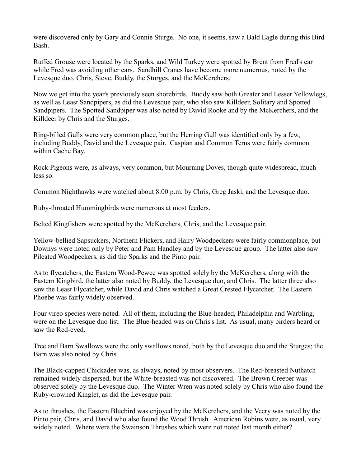were discovered only by Gary and Connie Sturge. No one, it seems, saw a Bald Eagle during this Bird Bash.

Ruffed Grouse were located by the Sparks, and Wild Turkey were spotted by Brent from Fred's car while Fred was avoiding other cars. Sandhill Cranes have become more numerous, noted by the Levesque duo, Chris, Steve, Buddy, the Sturges, and the McKerchers.

Now we get into the year's previously seen shorebirds. Buddy saw both Greater and Lesser Yellowlegs, as well as Least Sandpipers, as did the Levesque pair, who also saw Killdeer, Solitary and Spotted Sandpipers. The Spotted Sandpiper was also noted by David Rooke and by the McKerchers, and the Killdeer by Chris and the Sturges.

Ring-billed Gulls were very common place, but the Herring Gull was identified only by a few, including Buddy, David and the Levesque pair. Caspian and Common Terns were fairly common within Cache Bay.

Rock Pigeons were, as always, very common, but Mourning Doves, though quite widespread, much less so.

Common Nighthawks were watched about 8:00 p.m. by Chris, Greg Jaski, and the Levesque duo.

Ruby-throated Hummingbirds were numerous at most feeders.

Belted Kingfishers were spotted by the McKerchers, Chris, and the Levesque pair.

Yellow-bellied Sapsuckers, Northern Flickers, and Hairy Woodpeckers were fairly commonplace, but Downys were noted only by Peter and Pam Handley and by the Levesque group. The latter also saw Pileated Woodpeckers, as did the Sparks and the Pinto pair.

As to flycatchers, the Eastern Wood-Pewee was spotted solely by the McKerchers, along with the Eastern Kingbird, the latter also noted by Buddy, the Levesque duo, and Chris. The latter three also saw the Least Flycatcher, while David and Chris watched a Great Crested Flycatcher. The Eastern Phoebe was fairly widely observed.

Four vireo species were noted. All of them, including the Blue-headed, Philadelphia and Warbling, were on the Levesque duo list. The Blue-headed was on Chris's list. As usual, many birders heard or saw the Red-eyed.

Tree and Barn Swallows were the only swallows noted, both by the Levesque duo and the Sturges; the Barn was also noted by Chris.

The Black-capped Chickadee was, as always, noted by most observers. The Red-breasted Nuthatch remained widely dispersed, but the White-breasted was not discovered. The Brown Creeper was observed solely by the Levesque duo. The Winter Wren was noted solely by Chris who also found the Ruby-crowned Kinglet, as did the Levesque pair.

As to thrushes, the Eastern Bluebird was enjoyed by the McKerchers, and the Veery was noted by the Pinto pair, Chris, and David who also found the Wood Thrush. American Robins were, as usual, very widely noted. Where were the Swainson Thrushes which were not noted last month either?